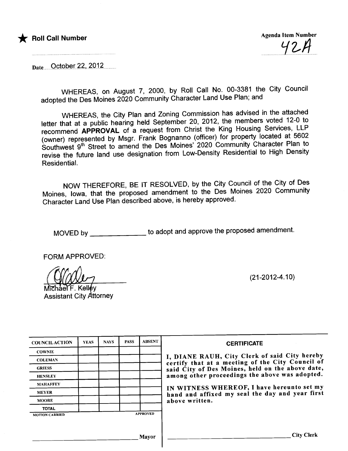

 $42A$ 

Date October 22, 2012

WHEREAS, on August 7, 2000, by Roll Call No. 00-3381 the City Council adopted the Des Moines 2020 Community Character Land Use Plan; and

WHEREAS, the City Plan and Zoning Commission has advised in the attached letter that at a public hearing held September 20, 2012, the members voted 12-0 to recommend APPROVAL of a request from Christ the King Housing Services, LLP<br>(owner) represented by Msgr. Frank Bognanno (officer) for property located at 5602 (owner) represented by Msgr. Frank Bognanno (officer) for property located at 5602 Southwest 9th Street to amend the Des Moines' 2020 Community Character Plan to revise the future land use designation from Low-Density Residential to High Density Residential.

NOW THEREFORE, BE IT RESOLVED, by the City Council of the City of Des Moines, Iowa, that the proposed amendment to the Des Moines 2020 Community Character Land Use Plan described above, is hereby approved.

MOVED by \_\_\_\_\_\_\_\_\_\_\_\_\_\_\_\_ to adopt and approve the proposed amendment.

FORM APPROVED:

~ Assistant City Attorney

(21-2012-4.10)

| <b>COUNCILACTION</b>  | <b>YEAS</b> | <b>NAYS</b> | <b>PASS</b> | <b>ABSENT</b>   | <b>CERTIFICATE</b>                                                                                |
|-----------------------|-------------|-------------|-------------|-----------------|---------------------------------------------------------------------------------------------------|
| <b>COWNIE</b>         |             |             |             |                 |                                                                                                   |
| <b>COLEMAN</b>        |             |             |             |                 | I, DIANE RAUH, City Clerk of said City hereby<br>certify that at a meeting of the City Council of |
| <b>GRIESS</b>         |             |             |             |                 | said City of Des Moines, held on the above date,                                                  |
| <b>HENSLEY</b>        |             |             |             |                 | among other proceedings the above was adopted.                                                    |
| <b>MAHAFFEY</b>       |             |             |             |                 | IN WITNESS WHEREOF, I have hereunto set my                                                        |
| <b>MEYER</b>          |             |             |             |                 | hand and affixed my seal the day and year first                                                   |
| <b>MOORE</b>          |             |             |             |                 | above written.                                                                                    |
| <b>TOTAL</b>          |             |             |             |                 |                                                                                                   |
| <b>MOTION CARRIED</b> |             |             |             | <b>APPROVED</b> |                                                                                                   |
|                       |             |             |             |                 |                                                                                                   |
|                       |             |             |             | <b>Mayor</b>    | <b>City Clerk</b>                                                                                 |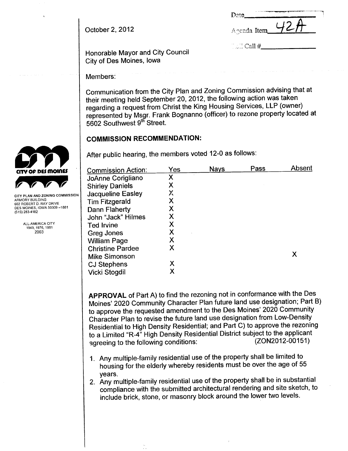| Date        |  |
|-------------|--|
| Agenda Item |  |
|             |  |

 $\sim$  Call #

October 2, 2012

Honorable Mayor and City Council City of Des Moines, Iowa

Members:

Communication from the City Plan and Zoning Commission advising that at their meeting held September 20, 2012, the following action was taken regarding a request from Christ the King Housing Services, LLP (owner) represented by Msgr. Frank Bognanno (officer) to rezone property located at 5602 Southwest 9<sup>th</sup> Street.

# **COMMISSION RECOMMENDATION:**

After public hearing, the members voted 12-0 as follows:

| X |
|---|
|   |
|   |
|   |

APPROVAL of Part A) to find the rezoning not in conformance with the Des Moines' 2020 Community Character Plan future land use designation; Part B) to approve the requested amendment to the Des Moines' 2020 Community Character Plan to revise the future land use designation from Low-Density Residential to High Density Residential; and Part C) to approve the rezoning to a Limited "R-4" High Density Residential District subject to the applicant (ZON2012-00151) agreeing to the following conditions:

- 1. Any multiple-family residential use of the property shall be limited to housing for the elderly whereby residents must be over the age of 55 vears.
- 2. Any multiple-family residential use of the property shall be in substantial compliance with the submitted architectural rendering and site sketch, to include brick, stone, or masonry block around the lower two levels.



CITY PLAN AND ZONING COMMISSION ARMORY BUILDING 602 ROBERT D. RAY DRIVE DES MOINES, IOWA 50309-1881  $(515)$  283-4182

> ALL-AMERICA CITY 1949, 1976, 1981 2003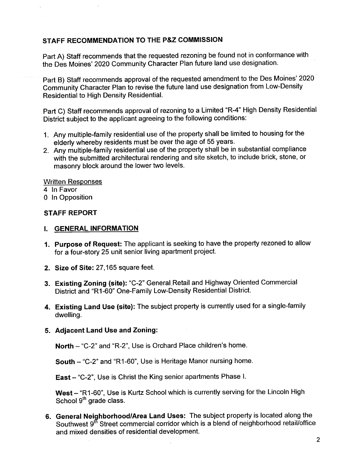## STAFF RECOMMENDATION TO THE P&Z COMMISSION

Part A) Staff recommends that the requested rezoning be found not in conformance with the Des Moines' 2020 Community Character Plan future land use designation.

Part B) Staff recommends approval of the requested amendment to the Des Moines' 2020 Community Character Plan to revise the future land use designation from Low-Density Residential to High Density ResidentiaL.

Part C) Staff recommends approval of rezoning to a Limited "R-4" High Density Residential District subject to the applicant agreeing to the following conditions:

- 1. Any multiple-family residential use of the property shall be limited to housing for the elderly whereby residents must be over the age of 55 years.
- 2. Any multiple-family residential use of the property shall be in substantial compliance with the submitted architectural rendering and site sketch, to include brick, stone, or masonry block around the lower two levels.

## Written Responses

- 4 In Favor
- o In Opposition

# STAFF REPORT

## I. GENERAL INFORMATION

- 1. Purpose of Request: The applicant is seeking to have the property rezoned to allow for a four-story 25 unit senior living apartment project.
- 2. Size of Site: 27,165 square feet.
- 3. Existing Zoning (site): "C-2" General Retail and Highway Oriented Commercial District and "R1-60" One-Family Low-Density Residential District.
- 4. Existing Land Use (site): The subject property is currently used for a single-family dwelling.

## 5. Adjacent Land Use and Zoning:

North - "C-2" and "R-2", Use is Orchard Place children's home.

South - "C-2" and "R1-60", Use is Heritage Manor nursing home.

East - "C-2", Use is Christ the King senior apartments Phase I.

West - "R1-60", Use is Kurtz School which is currently serving for the Lincoln High School 9<sup>th</sup> grade class.

6. General Neighborhood/Area Land Uses: The subject property is located along the Southwest 9<sup>th</sup> Street commercial corridor which is a blend of neighborhood retail/office and mixed densities of residential development.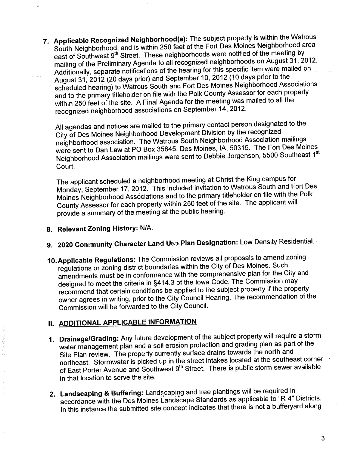7. Applicable Recognized Neighborhood(s): The subject property is within the Watrous South Neighborhood, and is within 250 feet of the Fort Des Moines Neighborhood area east of Southwest 9<sup>th</sup> Street. These neighborhoods were notified of the meeting by mailing of the Preliminary Agenda to all recognized neighborhoods on August 31, 2012. Additionally, separate notifications of the hearing for this specific item were mailed on August 31,2012 (20 days prior) and September 10, 2012 (10 days prior to the scheduled hearing) to Watrous South and Fort Des Moines Neighborhood Associations and to the primary titleholder on file with the Polk County Assessor for each property within 250 feet of the site. A Final Agenda for the meeting was mailed to all the recognized neighborhood associations on September 14, 2012.

All agendas and notices are mailed to the primary contact person designated to the City of Des Moines Neighborhood Development Division by the recognized neighborhood association. The Watrous South Neighborhood Association mailings were sent to Dan Law at PO Box 35845, Des Moines, lA, 50315. The Fort Des Moines Neighborhood Association mailings were sent to Debbie Jorgenson, 5500 Southeast 1st Court.

The applicant scheduled a neighborhood meeting at Christ the King campus for Monday, September 17, 2012. This included invitation to Watrous South and Fort Des Moines Neighborhood Assòciations and to the primary titleholder on file with the Polk County Assessor for each property within 250 feet of the site. The applicant will provide a summary of the meeting at the public hearing.

- 8. Relevant Zoning History: N/A.
- 9. 2020 Conimunity Character Land Use Plan Designation: Low Density Residential.
- 10.Applicable Regulations: The Commission reviews all proposals to amend zoning regulations or zoning district boundaries within the City of Des Moines. Such amendments must be in conformance with the comprehensive plan for the City and designed to meet the criteria in §414.3 of the Iowa Code. The Commission may recommend that certain conditions be applied to the subject property if the property owner agrees in writing, prior to the City Council Hearing. The recommendation of the Commission will be forwarded to the City CounciL.

# II. ADDITIONAL APPLICABLE INFORMATION

- 1. Drainage/Grading: Any future development of the subject property will require a storm water management plan and a soil erosion protection and grading plan as part of the Site Plan review. The property currently surface drains towards the north and northeast. Stormwater is picked up in the street intakes located at the southeast corner of East Porter Avenue and Southwest 9th Street. There is public storm sewer available in that location to serve the site.
- 2. Landscaping & Buffering: Landscaping and tree plantings will be required in accordance with the Des Moines Landscape Standards as applicable to "R-4" Districts. In this instance the submitted site concept indicates that there is not a bufferyard along

3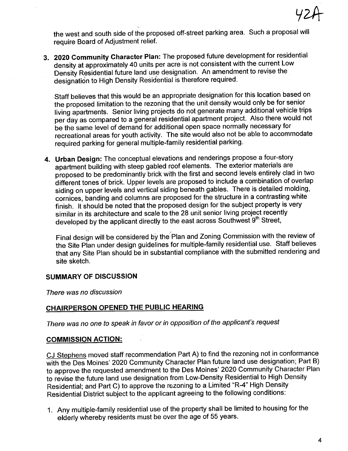

the west and south side of the proposed off-street parking area. Such a proposal wil require Board of Adjustment relief.

3. 2020 Community Character Plan: The proposed future development for residential density at approximately 40 units per acre is not consistent with the current Low Density Residential future land use designation. An amendment to revise the designatión to High Density Residential is therefore required.

Staff believes that this would be an appropriate designation for this location based on the proposed limitation to the rezoning that the unit density would only be for senior living apartments. Senior living projects do not generate many additional vehicle trips per day as compared to a general residential apartment project. Also there would not be the same level of demand for additional open space normally necessary for recreational areas for youth activity. The site would also not be able to accommodate required parking for general multiple-family residential parking.

4. Urban Design: The conceptual elevations and renderings propose a four-story apartment building with steep gabled roof elements. The exterior materials are proposed to be predominantly brick with the first and second levels entirely clad in two different tones of brick. Upper levels are proposed to include a combination of overlap siding on upper levels and vertical siding beneath gables. There is detailed molding, cornices, banding and columns are proposed for the structure in a contrasting white finish. It should be noted that the proposed design for the subject property is very similar in its architecture and scale to the 28 unit senior living project recently developed by the applicant directly to the east across Southwest 9<sup>th</sup> Street,

Final design wil be considered by the' Plan and Zoning Commission with the review of the Site Plan under design guidelines for multiple-family residential use. Staff believes that any Site Plan should be in substantial compliance with the submitted rendering and site sketch.

### SUMMARY OF DISCUSSION

There was no discussion

## CHAIRPERSON OPENED THE PUBLIC HEARING

There was no one to speak in favor or in opposition of the applicant's request

### COMMISSION ACTION:

CJ Stephens moved staff recommendation Part A) to find the rezoning not in conformance with the Des Moines' 2020 Community Character Plan future land use designation; Part B) to approve the requested amendment to the Des Moines' 2020 Community Character Plan to revise the future land use designation from Low-Density Residential to High Density Residential; and Part C) to approve the rezoning to a Limited "R-4" High Density Residential District subject to the applicant agreeing to the following conditions:

1. Any multiple-family residential use of the property shall be limited to housing for the elderly whereby residents must be over the age of 55 years.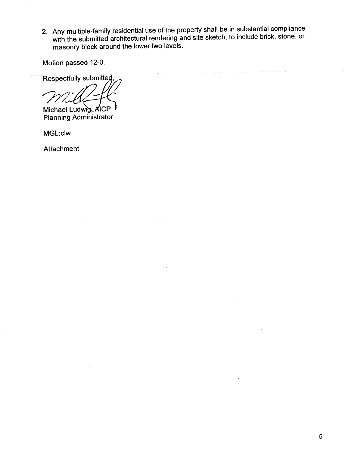2. Any multiple-family residential use of the property shall be in substantial compliance with the submitted architectural rendering and site sketch, to include brick, stone, or masonry block around the lower two levels.

Motion passed 12-0.

Respectfully submitted,

Michael Ludwig AICP Planning Administrator

MGL:clw

Attachment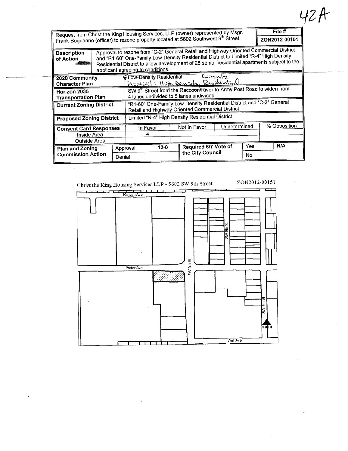| Request from Christ the King Housing Services, LLP (owner) represented by Msgr.<br>Frank Bognanno (officer) to rezone property located at 5602 Southwest 9th Street. |                                                                                                                                                                                                                                                                                                                     |  |                                                                                                                          |          |  |                      |              |           |              | File #<br>ZON2012-00151 |
|----------------------------------------------------------------------------------------------------------------------------------------------------------------------|---------------------------------------------------------------------------------------------------------------------------------------------------------------------------------------------------------------------------------------------------------------------------------------------------------------------|--|--------------------------------------------------------------------------------------------------------------------------|----------|--|----------------------|--------------|-----------|--------------|-------------------------|
| <b>Description</b><br>of Action                                                                                                                                      | Approval to rezone from "C-2" General Retail and Highway Oriented Commercial District<br>and "R1-60" One-Family Low-Density Residential District to Limited "R-4" High Density<br>Residential District to allow development of 25 senior residential apartments subject to the<br>applicant agreeing to conditions. |  |                                                                                                                          |          |  |                      |              |           |              |                         |
| 2020 Community<br><b>Character Plan</b>                                                                                                                              |                                                                                                                                                                                                                                                                                                                     |  | Current<br>✔ Low-Density Residential<br>Proposed: High Density Residential                                               |          |  |                      |              |           |              |                         |
| Horizon 2035<br><b>Transportation Plan</b>                                                                                                                           |                                                                                                                                                                                                                                                                                                                     |  | SW 9th Street from the Raccoon River to Army Post Road to widen from<br>4 lanes undivided to 5 lanes undivided           |          |  |                      |              |           |              |                         |
| <b>Current Zoning District</b>                                                                                                                                       |                                                                                                                                                                                                                                                                                                                     |  | "R1-60" One-Family Low-Density Residential District and "C-2" General<br>Retail and Highway Oriented Commercial District |          |  |                      |              |           |              |                         |
| <b>Proposed Zoning District</b>                                                                                                                                      |                                                                                                                                                                                                                                                                                                                     |  | Limited "R-4" High Density Residential District                                                                          |          |  |                      |              |           |              |                         |
| <b>Consent Card Responses</b>                                                                                                                                        |                                                                                                                                                                                                                                                                                                                     |  |                                                                                                                          | In Favor |  | Not In Favor         | Undetermined |           | % Opposition |                         |
| Inside Area<br>Outside Area                                                                                                                                          |                                                                                                                                                                                                                                                                                                                     |  | 4                                                                                                                        |          |  |                      |              |           |              |                         |
| <b>Plan and Zoning</b>                                                                                                                                               | Approval<br>Denial                                                                                                                                                                                                                                                                                                  |  |                                                                                                                          | $12 - 0$ |  | Required 6/7 Vote of |              | Yes       |              | <b>N/A</b>              |
| <b>Commission Action</b>                                                                                                                                             |                                                                                                                                                                                                                                                                                                                     |  |                                                                                                                          |          |  | the City Council     |              | <b>No</b> |              |                         |



 $\sim$ 

# 42A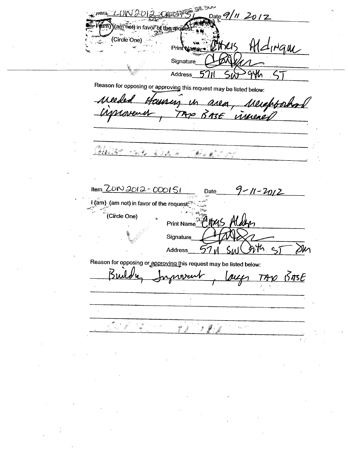Date  $9/11$  201 (am not) in favor of the red (Circle One) INGUL Print Namer Signature Address<sub>\_</sub> 芍 Gyh  $\overline{\phantom{a}}$ Reason for opposing or approving this request may be listed below: 11 po 11. Merepoord MMM BASE innered  $\mathcal{A} \mathcal{A} = \mathcal{A}^{-1}$  $\hat{\mathbf{e}}_{\alpha} \in \mathcal{A}_{\alpha} \quad \text{as} \quad \alpha$  $\mathcal{A}_{\mathcal{F},\mathcal{F}}$  $9 - 11 - 2012$ Item  $ZON3012 - 000151$ Date I (am) (am not) in favor of the request (Circle One) Print Name 145 Signature れ **Address**  $57<sub>W</sub>$ Reason for opposing or approving this request may be listed below:  $10.005E$ Ku novent <u>NLL</u>  $\frac{\partial}{\partial x^2}$  $\frac{\infty}{\frac{2\pi}{\sqrt{3}}},$ .<br>Saint Sã  $\mathcal{F}(\mathcal{G})$  $\mathbf{a}_i \in \mathcal{A}$  $\sharp^g \circ \sharp$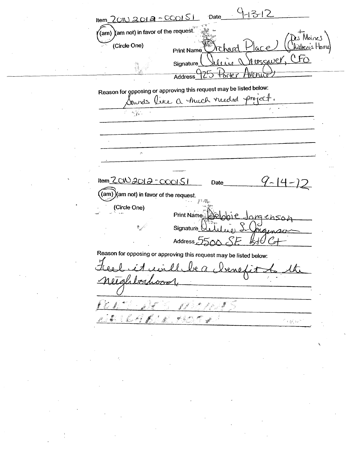$-13-12$ Item  $20N2012-000151$ Date  $\langle$ am)  $\rangle$ am not) in favor of the request $\tilde{\mathbb{R}}$ Moines (Circle One) hikhen's Home  $ar$ r hard Print Name ussaver, CFO **Signature** Voni **Address** Reason for opposing or approving this request may be listed below: Sounds like a fruch reeded project.  $\frac{d\mathbf{y}}{d\mathbf{y}}$  .  $\hat{\mathcal{D}}$  $9 - 14 - 12$ Item <u>ZCW2012 - COOISI</u> Date  $\frac{1}{2}$  (am)  $\frac{1}{2}$  (am not) in favor of the request. (Circle One) Print Name sica ch56 Signature À. Address<sub>2</sub> Reason for opposing or approving this request may be listed below: የ ለላ በ 101a boa クアマ f agiven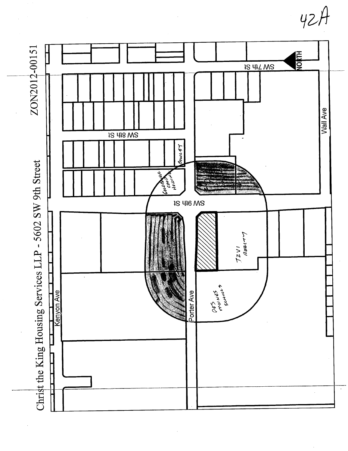